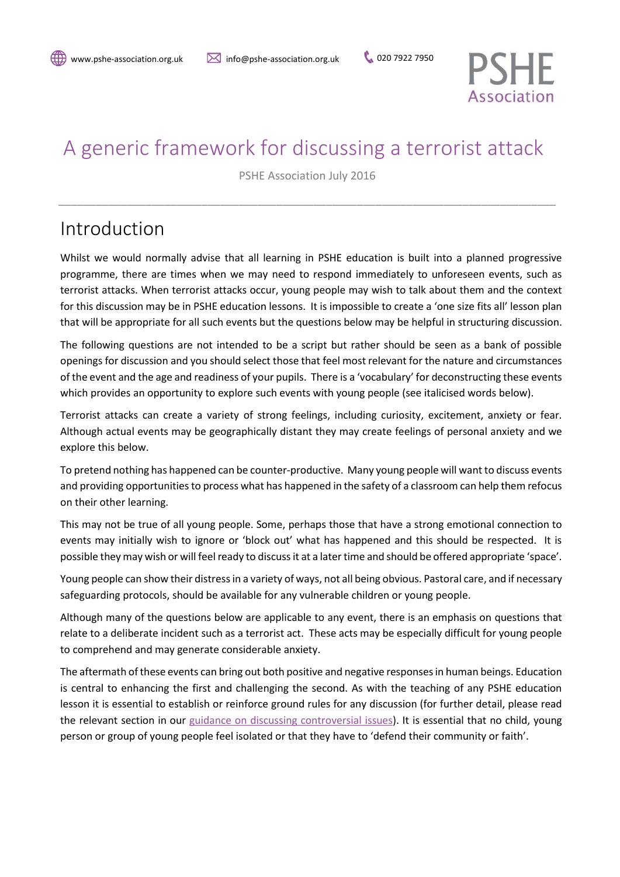

# A generic framework for discussing a terrorist attack

PSHE Association July 2016

\_\_\_\_\_\_\_\_\_\_\_\_\_\_\_\_\_\_\_\_\_\_\_\_\_\_\_\_\_\_\_\_\_\_\_\_\_\_\_\_\_\_\_\_\_\_\_\_\_\_\_\_\_\_\_\_\_\_\_\_\_\_\_\_\_\_\_\_\_\_\_\_\_\_\_\_\_\_\_\_

# Introduction

Whilst we would normally advise that all learning in PSHE education is built into a planned progressive programme, there are times when we may need to respond immediately to unforeseen events, such as terrorist attacks. When terrorist attacks occur, young people may wish to talk about them and the context for this discussion may be in PSHE education lessons. It is impossible to create a 'one size fits all' lesson plan that will be appropriate for all such events but the questions below may be helpful in structuring discussion.

The following questions are not intended to be a script but rather should be seen as a bank of possible openings for discussion and you should select those that feel most relevant for the nature and circumstances of the event and the age and readiness of your pupils. There is a 'vocabulary' for deconstructing these events which provides an opportunity to explore such events with young people (see italicised words below).

Terrorist attacks can create a variety of strong feelings, including curiosity, excitement, anxiety or fear. Although actual events may be geographically distant they may create feelings of personal anxiety and we explore this below.

To pretend nothing has happened can be counter-productive. Many young people will want to discuss events and providing opportunities to process what has happened in the safety of a classroom can help them refocus on their other learning.

This may not be true of all young people. Some, perhaps those that have a strong emotional connection to events may initially wish to ignore or 'block out' what has happened and this should be respected. It is possible they may wish or will feel ready to discuss it at a later time and should be offered appropriate 'space'.

Young people can show their distress in a variety of ways, not all being obvious. Pastoral care, and if necessary safeguarding protocols, should be available for any vulnerable children or young people.

Although many of the questions below are applicable to any event, there is an emphasis on questions that relate to a deliberate incident such as a terrorist act. These acts may be especially difficult for young people to comprehend and may generate considerable anxiety.

The aftermath of these events can bring out both positive and negative responses in human beings. Education is central to enhancing the first and challenging the second. As with the teaching of any PSHE education lesson it is essential to establish or reinforce ground rules for any discussion (for further detail, please read the relevant section in our [guidance on discussing](https://www.pshe-association.org.uk/curriculum-and-resources/resources/handling-sensitive-or-controversial-issues-through) controversial issues). It is essential that no child, young person or group of young people feel isolated or that they have to 'defend their community or faith'.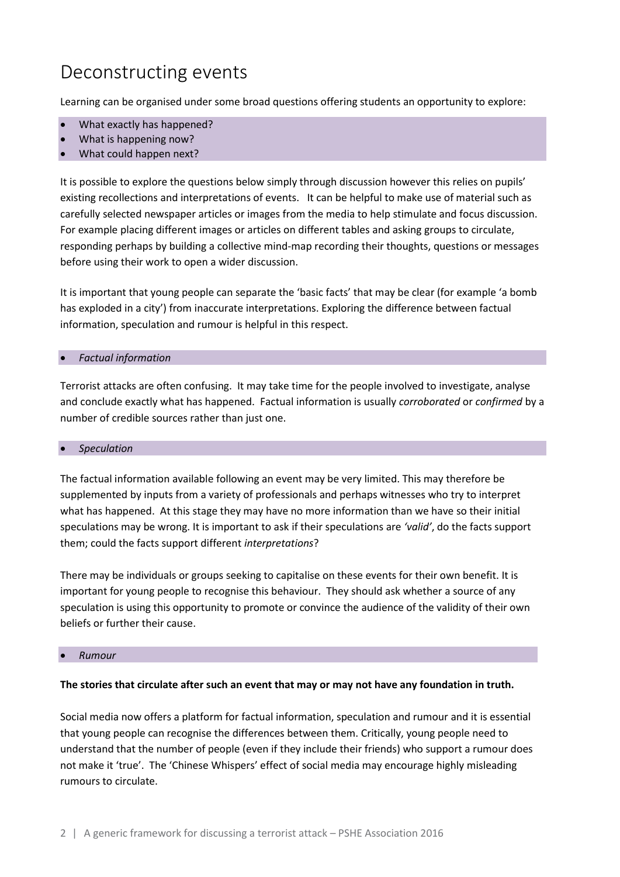# Deconstructing events

Learning can be organised under some broad questions offering students an opportunity to explore:

- What exactly has happened?
- What is happening now?
- What could happen next?

It is possible to explore the questions below simply through discussion however this relies on pupils' existing recollections and interpretations of events. It can be helpful to make use of material such as carefully selected newspaper articles or images from the media to help stimulate and focus discussion. For example placing different images or articles on different tables and asking groups to circulate, responding perhaps by building a collective mind-map recording their thoughts, questions or messages before using their work to open a wider discussion.

It is important that young people can separate the 'basic facts' that may be clear (for example 'a bomb has exploded in a city') from inaccurate interpretations. Exploring the difference between factual information, speculation and rumour is helpful in this respect.

#### *Factual information*

Terrorist attacks are often confusing. It may take time for the people involved to investigate, analyse and conclude exactly what has happened. Factual information is usually *corroborated* or *confirmed* by a number of credible sources rather than just one.

#### *Speculation*

The factual information available following an event may be very limited. This may therefore be supplemented by inputs from a variety of professionals and perhaps witnesses who try to interpret what has happened. At this stage they may have no more information than we have so their initial speculations may be wrong. It is important to ask if their speculations are *'valid'*, do the facts support them; could the facts support different *interpretations*?

There may be individuals or groups seeking to capitalise on these events for their own benefit. It is important for young people to recognise this behaviour. They should ask whether a source of any speculation is using this opportunity to promote or convince the audience of the validity of their own beliefs or further their cause.

#### *Rumour*

#### **The stories that circulate after such an event that may or may not have any foundation in truth.**

Social media now offers a platform for factual information, speculation and rumour and it is essential that young people can recognise the differences between them. Critically, young people need to understand that the number of people (even if they include their friends) who support a rumour does not make it 'true'. The 'Chinese Whispers' effect of social media may encourage highly misleading rumours to circulate.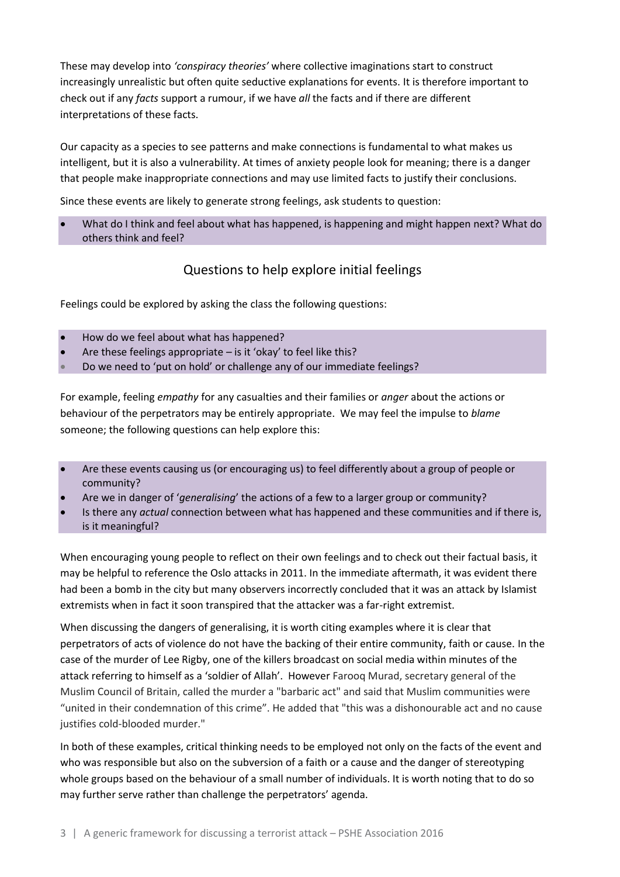These may develop into *'conspiracy theories'* where collective imaginations start to construct increasingly unrealistic but often quite seductive explanations for events. It is therefore important to check out if any *facts* support a rumour, if we have *all* the facts and if there are different interpretations of these facts.

Our capacity as a species to see patterns and make connections is fundamental to what makes us intelligent, but it is also a vulnerability. At times of anxiety people look for meaning; there is a danger that people make inappropriate connections and may use limited facts to justify their conclusions.

Since these events are likely to generate strong feelings, ask students to question:

 What do I think and feel about what has happened, is happening and might happen next? What do others think and feel?

### Questions to help explore initial feelings

Feelings could be explored by asking the class the following questions:

- How do we feel about what has happened?
- Are these feelings appropriate is it 'okay' to feel like this?
- Do we need to 'put on hold' or challenge any of our immediate feelings?

For example, feeling *empathy* for any casualties and their families or *anger* about the actions or behaviour of the perpetrators may be entirely appropriate. We may feel the impulse to *blame* someone; the following questions can help explore this:

- Are these events causing us (or encouraging us) to feel differently about a group of people or community?
- Are we in danger of '*generalising*' the actions of a few to a larger group or community?
- Is there any *actual* connection between what has happened and these communities and if there is, is it meaningful?

When encouraging young people to reflect on their own feelings and to check out their factual basis, it may be helpful to reference the Oslo attacks in 2011. In the immediate aftermath, it was evident there had been a bomb in the city but many observers incorrectly concluded that it was an attack by Islamist extremists when in fact it soon transpired that the attacker was a far-right extremist.

When discussing the dangers of generalising, it is worth citing examples where it is clear that perpetrators of acts of violence do not have the backing of their entire community, faith or cause. In the case of the murder of Lee Rigby, one of the killers broadcast on social media within minutes of the attack referring to himself as a 'soldier of Allah'. However Farooq Murad, secretary general of the Muslim Council of Britain, called the murder a "barbaric act" and said that Muslim communities were "united in their condemnation of this crime". He added that "this was a dishonourable act and no cause justifies cold-blooded murder."

In both of these examples, critical thinking needs to be employed not only on the facts of the event and who was responsible but also on the subversion of a faith or a cause and the danger of stereotyping whole groups based on the behaviour of a small number of individuals. It is worth noting that to do so may further serve rather than challenge the perpetrators' agenda.